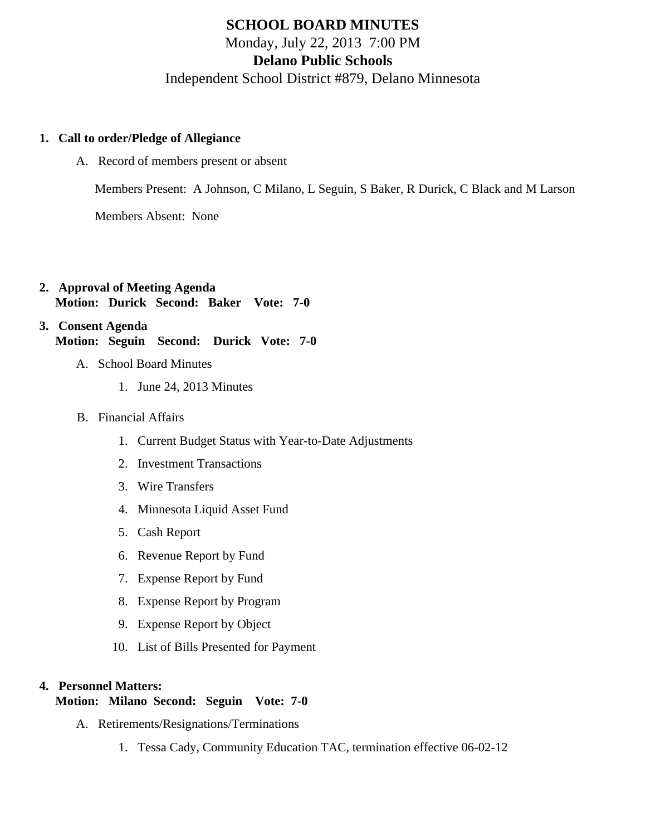## SCHOOL BOARD MINUTES Monday, July 22, 2013 7:00 PM Delano Public Schools Independent School District #879, Delano Minnesota

- 1. Call to order/Pledge of Allegiance
	- A. Record of members present or absent

Members Present: A Johnson, C Milano, L Seguin, S Baker, R Durick, C Black and M Larson

Members Absent: None

- 2. Approval of Meeting Agenda Motion: Durick Second: Baker Vote: 7-0
- 3. Consent Agenda Motion: Seguin Second: Durick Vote: 7-0
	- A. School Board Minutes
		- 1. [June 24, 2013 Minute](/docs/district/Business_Office/6.24.13_Board_Minutes.pdf )s
	- B. Financial Affairs
		- 1. [Current Budget Status with Year-to-Date Adjustm](/docs/district/Business_Office/Budget_Report_July_13.pdf)ents
		- 2. [Investment Transactio](/docs/district/Business_Office/Investment_schedule_12-13.pdf  )ns
		- 3. [Wire Transfer](/docs/district/Business_Office/Wire_Transfer.pdf  )s
		- 4. [Minnesota Liquid Asset Fun](/docs/district/Business_Office/Liq_AFY13.pdf )d
		- 5. [Cash Repo](/docs/district/Business_Office/Cash_Report.pdf)rt
		- 6. [Revenue Report by Fu](/docs/district/Business_Office/SCHOOL_BOARD_REPORTS_-_REVENUE_BY_FUND_TOTAL__(Date__7_2013).pdf)nd
		- 7. [Expense Report by Fu](/docs/district/Business_Office/SCHOOL_BOARD_REPORTS_-_EXP_BY_FUND_TOTAL__(Date__7_2013).pdf)nd
		- 8. [Expense Report by Progra](/docs/district/Business_Office/SCHOOL_BOARD_REPORTS_-_EXPENDITURES_BY_PROGRAM__(Date__7_2013).pdf)m
		- 9. [Expense Report by Obje](/docs/district/Business_Office/SCHOOL_BOARD_REPORTS_-_EXPENDITURES_BY_OBJECT__(Date__7_2013).pdf)ct
		- 10. [List of Bills Presented for Payme](/docs/district/Business_Office/DETAIL_OF_MONTHLY_BILLS_PRESENTED_FOR_PAYMENT.pdf)nt
- 4. Personnel Matters:

Motion: Milano Second: Seguin Vote: 7-0

- A. Retirements/Resignations/Terminations
	- 1. Tessa Cady, Community Education TAC, termination effective 06-02-12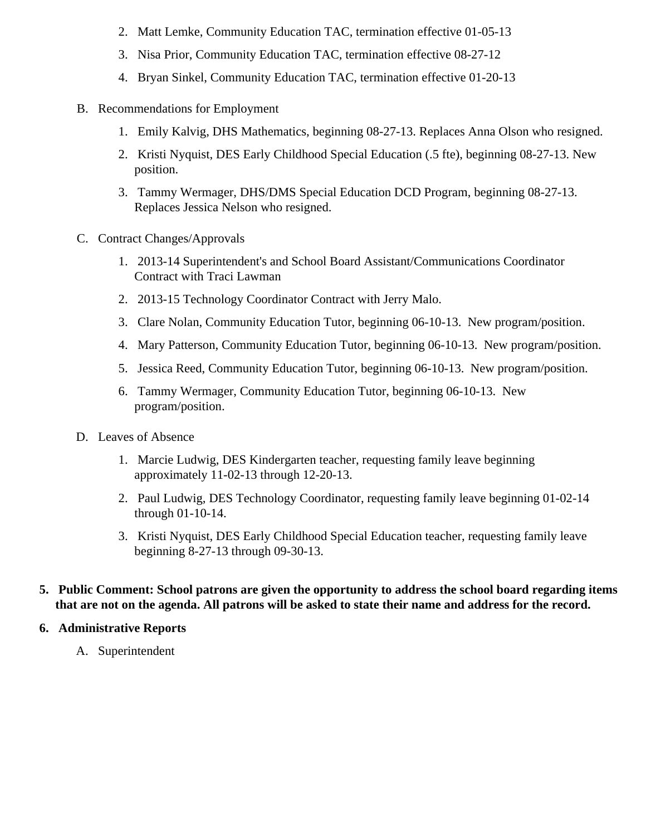- 2. Matt Lemke, Community Education TAC, termination effective 01-05-13
- 3. Nisa Prior, Community Education TAC, termination effective 08-27-12
- 4. Bryan Sinkel, Community Education TAC, termination effective 01-20-13
- B. Recommendations for Employment
	- 1. Emily Kalvig, DHS Mathematics, beginning 08-27-13. Replaces Anna Olson who resigned.
	- 2. Kristi Nyquist, DES Early Childhood Special Education (.5 fte), beginning 08-27-13. New position.
	- 3. Tammy Wermager, DHS/DMS Special Education DCD Program, beginning 08-27-13. Replaces Jessica Nelson who resigned.
- C. Contract Changes/Approvals
	- 1. 2013-14 Superintendent's and School Board Assistant/Communications Coordinator Contract with Traci Lawman
	- 2. 2013-15 Technology Coordinator Contract with Jerry Malo.
	- 3. Clare Nolan, Community Education Tutor, beginning 06-10-13. New program/position.
	- 4. Mary Patterson, Community Education Tutor, beginning 06-10-13. New program/position.
	- 5. Jessica Reed, Community Education Tutor, beginning 06-10-13. New program/position.
	- 6. Tammy Wermager, Community Education Tutor, beginning 06-10-13. New program/position.
- D. Leaves of Absence
	- 1. Marcie Ludwig, DES Kindergarten teacher, requesting family leave beginning approximately 11-02-13 through 12-20-13.
	- 2. Paul Ludwig, DES Technology Coordinator, requesting family leave beginning 01-02-14 through 01-10-14.
	- 3. Kristi Nyquist, DES Early Childhood Special Education teacher, requesting family leave beginning 8-27-13 through 09-30-13.
- **5. Public Comment: School patrons are given the opportunity to address the school board regarding items that are not on the agenda. All patrons will be asked to state their name and address for the record.**

## **6. Administrative Reports**

A. Superintendent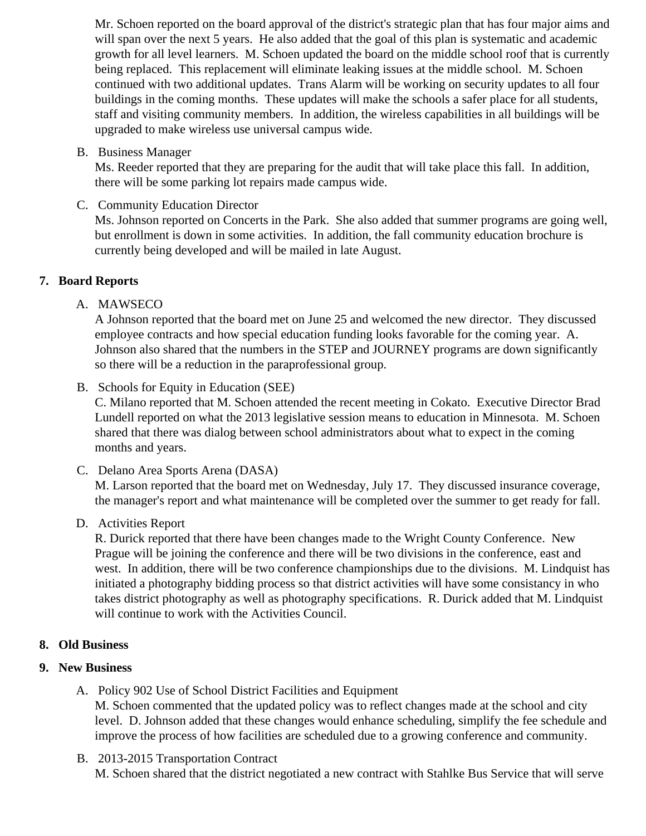Mr. Schoen reported on the board approval of the district's strategic plan that has four major aims and will span over the next 5 years. He also added that the goal of this plan is systematic and academ growth for all level learners. M. Schoen updated the board on the middle school roof that is currently being replaced. This replacement will eliminate leaking issues at the middle school. M. Schoen continued with two additional updates. Trans Alarm will be working on security updates to all four buildings in the coming months. These updates will make the schools a safer place for all students staff and visiting community members. In addition, the wireless capabilities in all buildings will be upgraded to make wireless use universal campus wide.

B. Business Manager

Ms. Reeder reported that they are preparing for the audit that will take place this fall. In addition, there will be some parking lot repairs made campus wide.

C. Community Education Director

Ms. Johnson reported on Concerts in the Park. She also added that summer programs are going well but enrollment is down in some activities. In addition, the fall community education brochure is currently being developed and will be mailed in late August.

- 7. Board Reports
	- A. MAWSECO

A Johnson reported that the board met on June 25 and welcomed the new director. They discusse employee contracts and how special education funding looks favorable for the coming year. A. Johnson also shared that the numbers in the STEP and JOURNEY programs are down significantl so there will be a reduction in the paraprofessional group.

B. Schools for Equity in Education (SEE)

C. Milano reported that M. Schoen attended the recent meeting in Cokato. Executive Director Brad Lundell reported on what the 2013 legislative session means to education in Minnesota. M. Schoe shared that there was dialog between school administrators about what to expect in the coming months and years.

C. Delano Area Sports Arena (DASA)

M. Larson reported that the board met on Wednesday, July 17. They discussed insurance coverage the manager's report and what maintenance will be completed over the summer to get ready for fall

D. Activities Report

R. Durick reported that there have been changes made to the Wright County Conference. New Prague will be joining the conference and there will be two divisions in the conference, east and west. In addition, there will be two conference championships due to the divisions. M. Lindquist has initiated a photography bidding process so that district activities will have some consistancy in who takes district photography as well as photography specifications. R. Durick added that M. Lindquis will continue to work with the Activities Council.

- 8. Old Business
- 9. New Business
	- A. Policy [902](/docs/district/District_Policies/902_Delano_Public_Schools_-_Use_of_School_District_Facilities_and_Equipment_-_July_2013_first_reading.pdf ) Use of School District Facilities and Equipment M. Schoen commented that the updated policy was to reflect changes made at the school and city level. D. Johnson added that these changes would enhance scheduling, simplify the fee schedule improve the process of how facilities are scheduled due to a growing conference and community.
	- B. [2013-2015 Transportation Contr](/docs/district/Business_Office/Trasnportation_Bus_Contract_2013-2015.pdf)act M. Schoen shared that the district negotiated a new contract with Stahlke Bus Service that will serv